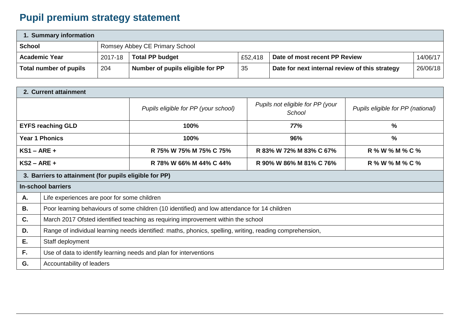## **Pupil premium strategy statement**

| 1. Summary information |                                |                                  |         |                                                |          |  |  |
|------------------------|--------------------------------|----------------------------------|---------|------------------------------------------------|----------|--|--|
| <b>School</b>          | Romsey Abbey CE Primary School |                                  |         |                                                |          |  |  |
| <b>Academic Year</b>   | 2017-18                        | <b>Total PP budget</b>           | £52,418 | Date of most recent PP Review                  | 14/06/17 |  |  |
| Total number of pupils | 204                            | Number of pupils eligible for PP | 35      | Date for next internal review of this strategy | 26/06/18 |  |  |

| 2. Current attainment                                  |                                                                                                          |                                                                                    |                         |                                   |  |
|--------------------------------------------------------|----------------------------------------------------------------------------------------------------------|------------------------------------------------------------------------------------|-------------------------|-----------------------------------|--|
|                                                        |                                                                                                          | Pupils not eligible for PP (your<br>Pupils eligible for PP (your school)<br>School |                         | Pupils eligible for PP (national) |  |
| <b>EYFS reaching GLD</b>                               |                                                                                                          | 100%                                                                               | 77%                     | $\frac{0}{0}$                     |  |
| <b>Year 1 Phonics</b>                                  |                                                                                                          | 100%                                                                               | 96%                     | $\%$                              |  |
| $KS1 - ARE +$                                          |                                                                                                          | R 75% W 75% M 75% C 75%                                                            | R 83% W 72% M 83% C 67% | R % W % M % C %                   |  |
| $KS2 - ARE +$                                          |                                                                                                          | R 78% W 66% M 44% C 44%                                                            | R 90% W 86% M 81% C 76% | R % W % M % C %                   |  |
| 3. Barriers to attainment (for pupils eligible for PP) |                                                                                                          |                                                                                    |                         |                                   |  |
| <b>In-school barriers</b>                              |                                                                                                          |                                                                                    |                         |                                   |  |
| Α.                                                     | Life experiences are poor for some children                                                              |                                                                                    |                         |                                   |  |
| <b>B.</b>                                              | Poor learning behaviours of some children (10 identified) and low attendance for 14 children             |                                                                                    |                         |                                   |  |
| C.                                                     | March 2017 Ofsted identified teaching as requiring improvement within the school                         |                                                                                    |                         |                                   |  |
| D.                                                     | Range of individual learning needs identified: maths, phonics, spelling, writing, reading comprehension, |                                                                                    |                         |                                   |  |
| Е.                                                     | Staff deployment                                                                                         |                                                                                    |                         |                                   |  |
| F.                                                     | Use of data to identify learning needs and plan for interventions                                        |                                                                                    |                         |                                   |  |
| G.                                                     | Accountability of leaders                                                                                |                                                                                    |                         |                                   |  |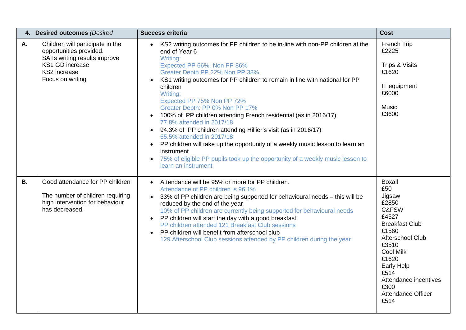| 4. Desired outcomes (Desired |                                                                                                                                                    | <b>Success criteria</b>                                                                                                                                                                                                                                                                                                                                                                                                                                                                                                                                                                                                                                                                                                                                                     | <b>Cost</b>                                                                                                                                                                                                                                       |
|------------------------------|----------------------------------------------------------------------------------------------------------------------------------------------------|-----------------------------------------------------------------------------------------------------------------------------------------------------------------------------------------------------------------------------------------------------------------------------------------------------------------------------------------------------------------------------------------------------------------------------------------------------------------------------------------------------------------------------------------------------------------------------------------------------------------------------------------------------------------------------------------------------------------------------------------------------------------------------|---------------------------------------------------------------------------------------------------------------------------------------------------------------------------------------------------------------------------------------------------|
| Α.                           | Children will participate in the<br>opportunities provided.<br>SATs writing results improve<br>KS1 GD increase<br>KS2 increase<br>Focus on writing | KS2 writing outcomes for PP children to be in-line with non-PP children at the<br>end of Year 6<br>Writing:<br>Expected PP 66%, Non PP 86%<br>Greater Depth PP 22% Non PP 38%<br>KS1 writing outcomes for PP children to remain in line with national for PP<br>children<br>Writing:<br>Expected PP 75% Non PP 72%<br>Greater Depth: PP 0% Non PP 17%<br>100% of PP children attending French residential (as in 2016/17)<br>77.8% attended in 2017/18<br>• 94.3% of PP children attending Hillier's visit (as in 2016/17)<br>65.5% attended in 2017/18<br>PP children will take up the opportunity of a weekly music lesson to learn an<br>$\bullet$<br>instrument<br>75% of eligible PP pupils took up the opportunity of a weekly music lesson to<br>learn an instrument | French Trip<br>£2225<br>Trips & Visits<br>£1620<br>IT equipment<br>£6000<br><b>Music</b><br>£3600                                                                                                                                                 |
| <b>B.</b>                    | Good attendance for PP children<br>The number of children requiring<br>high intervention for behaviour<br>has decreased.                           | Attendance will be 95% or more for PP children.<br>$\bullet$<br>Attendance of PP children is 96.1%<br>33% of PP children are being supported for behavioural needs - this will be<br>$\bullet$<br>reduced by the end of the year<br>10% of PP children are currently being supported for behavioural needs<br>PP children will start the day with a good breakfast<br>$\bullet$<br>PP children attended 121 Breakfast Club sessions<br>PP children will benefit from afterschool club<br>$\bullet$<br>129 Afterschool Club sessions attended by PP children during the year                                                                                                                                                                                                 | <b>Boxall</b><br>£50<br>Jigsaw<br>£2850<br>C&FSW<br>£4527<br><b>Breakfast Club</b><br>£1560<br>Afterschool Club<br>£3510<br><b>Cool Milk</b><br>£1620<br>Early Help<br>£514<br>Attendance incentives<br>£300<br><b>Attendance Officer</b><br>£514 |